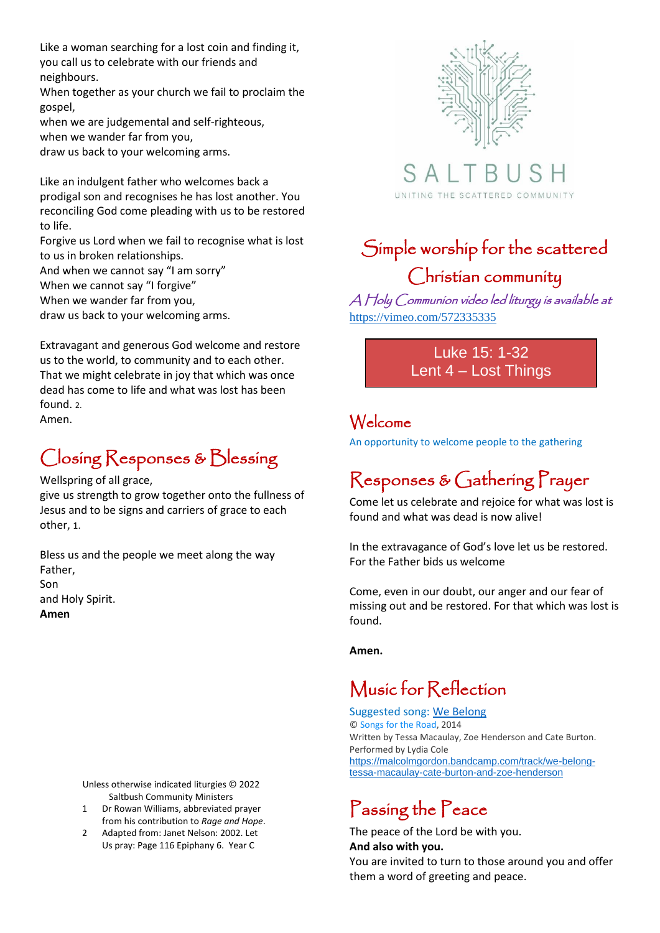Like a woman searching for a lost coin and finding it, you call us to celebrate with our friends and neighbours.

When together as your church we fail to proclaim the gospel,

when we are judgemental and self-righteous, when we wander far from you,

draw us back to your welcoming arms.

Like an indulgent father who welcomes back a prodigal son and recognises he has lost another. You reconciling God come pleading with us to be restored to life.

Forgive us Lord when we fail to recognise what is lost to us in broken relationships.

And when we cannot say "I am sorry" When we cannot say "I forgive" When we wander far from you,

draw us back to your welcoming arms.

Extravagant and generous God welcome and restore us to the world, to community and to each other. That we might celebrate in joy that which was once dead has come to life and what was lost has been found. 2. Amen.

### Closing Responses & Blessing

Wellspring of all grace,

give us strength to grow together onto the fullness of Jesus and to be signs and carriers of grace to each other, 1.

Bless us and the people we meet along the way Father, Son

```
and Holy Spirit.
```
**Amen**

Unless otherwise indicated liturgies © 2022 Saltbush Community Ministers

- 1 Dr Rowan Williams, abbreviated prayer from his contribution to *Rage and Hope*.
- 2 Adapted from: Janet Nelson: 2002. Let Us pray: Page 116 Epiphany 6. Year C





# Simple worship for the scattered Christian community

A Holy Communion video led liturgy is available at <https://vimeo.com/572335335>

> Luke 15: 1-32 Lent 4 – Lost Things

### Welcome

An opportunity to welcome people to the gathering

# Responses & Gathering Prayer

Come let us celebrate and rejoice for what was lost is found and what was dead is now alive!

In the extravagance of God's love let us be restored. For the Father bids us welcome

Come, even in our doubt, our anger and our fear of missing out and be restored. For that which was lost is found.

**Amen.**

### Music for Reflection

Suggested song: [We Belong](https://malcolmgordon.bandcamp.com/track/we-belong-tessa-macaulay-cate-burton-and-zoe-henderson) © [Songs for the Road,](https://malcolmgordon.bandcamp.com/album/songs-for-the-road) 2014 Written by Tessa Macaulay, Zoe Henderson and Cate Burton. Performed by Lydia Cole [https://malcolmgordon.bandcamp.com/track/we-belong](https://malcolmgordon.bandcamp.com/track/we-belong-tessa-macaulay-cate-burton-and-zoe-henderson)[tessa-macaulay-cate-burton-and-zoe-henderson](https://malcolmgordon.bandcamp.com/track/we-belong-tessa-macaulay-cate-burton-and-zoe-henderson)

# Passing the Peace

The peace of the Lord be with you. **And also with you.**

You are invited to turn to those around you and offer them a word of greeting and peace.